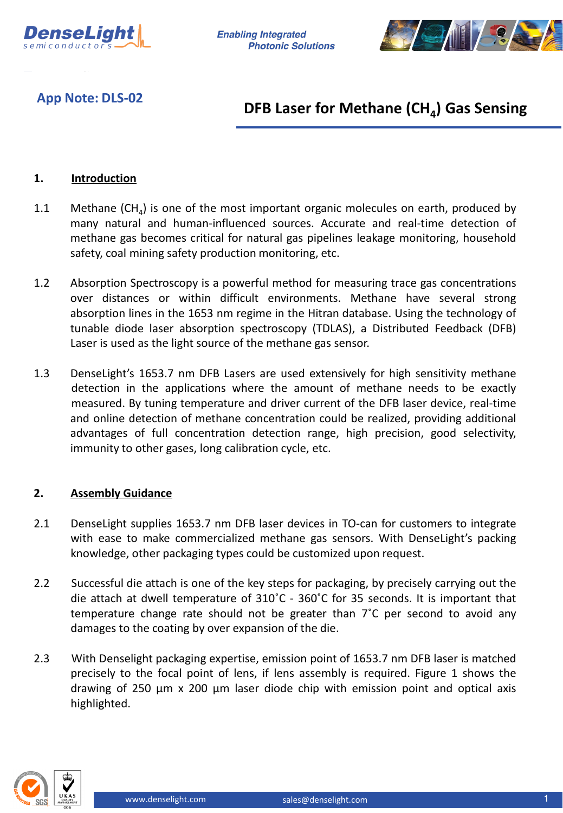

**Enabling Integrated Photonic Solutions** 



**App Note: DLS-02**

# **DFB Laser for Methane (CH<sub>4</sub>) Gas Sensing**

## **1. Introduction**

- 1.1 Methane  $(CH<sub>a</sub>)$  is one of the most important organic molecules on earth, produced by many natural and human-influenced sources. Accurate and real-time detection of methane gas becomes critical for natural gas pipelines leakage monitoring, household safety, coal mining safety production monitoring, etc.
- 1.2 Absorption Spectroscopy is a powerful method for measuring trace gas concentrations over distances or within difficult environments. Methane have several strong absorption lines in the 1653 nm regime in the Hitran database. Using the technology of tunable diode laser absorption spectroscopy (TDLAS), a Distributed Feedback (DFB) Laser is used as the light source of the methane gas sensor.
- 1.3 DenseLight's 1653.7 nm DFB Lasers are used extensively for high sensitivity methane detection in the applications where the amount of methane needs to be exactly measured. By tuning temperature and driver current of the DFB laser device, real-time and online detection of methane concentration could be realized, providing additional advantages of full concentration detection range, high precision, good selectivity, immunity to other gases, long calibration cycle, etc.

### **2. Assembly Guidance**

- 2.1 DenseLight supplies 1653.7 nm DFB laser devices in TO-can for customers to integrate with ease to make commercialized methane gas sensors. With DenseLight's packing knowledge, other packaging types could be customized upon request.
- 2.2 Successful die attach is one of the key steps for packaging, by precisely carrying out the die attach at dwell temperature of 310˚C - 360˚C for 35 seconds. It is important that temperature change rate should not be greater than 7˚C per second to avoid any damages to the coating by over expansion of the die.
- 2.3 With Denselight packaging expertise, emission point of 1653.7 nm DFB laser is matched precisely to the focal point of lens, if lens assembly is required. Figure 1 shows the drawing of 250 µm x 200 µm laser diode chip with emission point and optical axis highlighted.

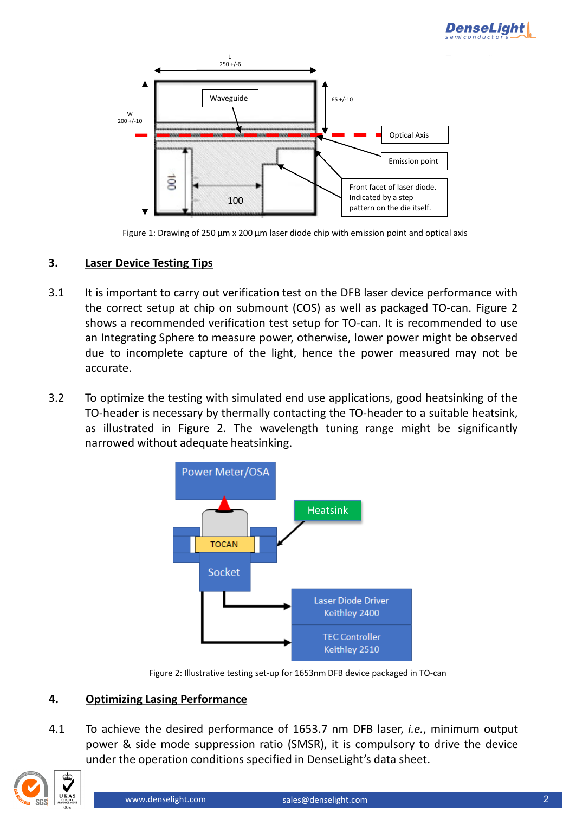



Figure 1: Drawing of 250 µm x 200 µm laser diode chip with emission point and optical axis

### **3. Laser Device Testing Tips**

- 3.1 It is important to carry out verification test on the DFB laser device performance with the correct setup at chip on submount (COS) as well as packaged TO-can. Figure 2 shows a recommended verification test setup for TO-can. It is recommended to use an Integrating Sphere to measure power, otherwise, lower power might be observed due to incomplete capture of the light, hence the power measured may not be accurate.
- 3.2 To optimize the testing with simulated end use applications, good heatsinking of the TO-header is necessary by thermally contacting the TO-header to a suitable heatsink, as illustrated in Figure 2. The wavelength tuning range might be significantly narrowed without adequate heatsinking.



Figure 2: Illustrative testing set-up for 1653nm DFB device packaged in TO-can

#### **4. Optimizing Lasing Performance**

4.1 To achieve the desired performance of 1653.7 nm DFB laser, *i.e.*, minimum output power & side mode suppression ratio (SMSR), it is compulsory to drive the device under the operation conditions specified in DenseLight's data sheet.